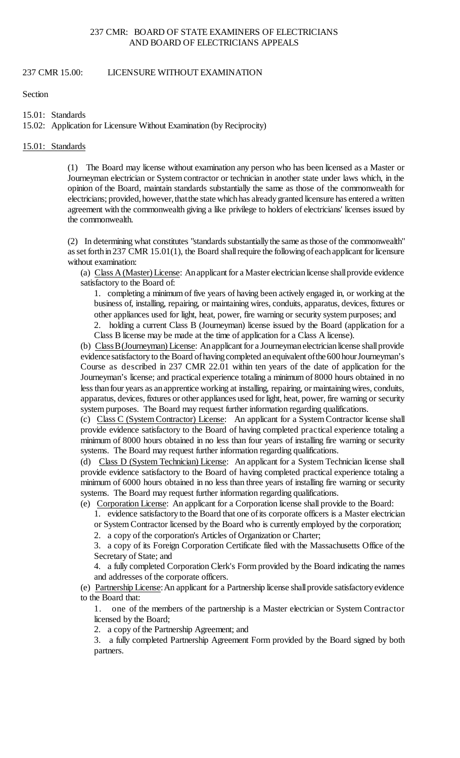## 237 CMR: BOARD OF STATE EXAMINERS OF ELECTRICIANS AND BOARD OF ELECTRICIANS APPEALS

237 CMR 15.00: LICENSURE WITHOUT EXAMINATION

Section

15.01: Standards

15.02: Application for Licensure Without Examination (by Reciprocity)

#### 15.01: Standards

 (1) The Board may license without examination any person who has been licensed as a Master or electricians; provided, however, thatthe state which has already granted licensure has entered a written Journeyman electrician or System contractor or technician in another state under laws which, in the opinion of the Board, maintain standards substantially the same as those of the commonwealth for agreement with the commonwealth giving a like privilege to holders of electricians' licenses issued by the commonwealth.

 (2) In determining what constitutes "standards substantially the same as those of the commonwealth" as set forth in 237 CMR 15.01(1), the Board shall require the following of each applicant for licensure without examination:

(a) Class A (Master) License: An applicant for a Master electrician license shall provide evidence satisfactory to the Board of:

1. completing a minimum of five years of having been actively engaged in, or working at the business of, installing, repairing, or maintaining wires, conduits, apparatus, devices, fixtures or other appliances used for light, heat, power, fire warning or security system purposes; and

2. holding a current Class B (Journeyman) license issued by the Board (application for a Class B license may be made at the time of application for a Class A license).

(b) Class B (Journeyman) License: An applicant for a Journeyman electrician license shall provide evidence satisfactory to the Board of having completed an equivalent of the 600 hour Journeyman's Course as described in 237 CMR 22.01 within ten years of the date of application for the less than four years as an apprentice working at installing, repairing, or maintaining wires, conduits, apparatus, devices, fixtures or other appliances used for light, heat, power, fire warning or security Journeyman's license; and practical experience totaling a minimum of 8000 hours obtained in no system purposes. The Board may request further information regarding qualifications.

 (c) Class C (System Contractor) License: An applicant for a System Contractor license shall provide evidence satisfactory to the Board of having completed practical experience totaling a minimum of 8000 hours obtained in no less than four years of installing fire warning or security systems. The Board may request further information regarding qualifications.

(d) Class D (System Technician) License: An applicant for a System Technician license shall minimum of 6000 hours obtained in no less than three years of installing fire warning or security provide evidence satisfactory to the Board of having completed practical experience totaling a systems. The Board may request further information regarding qualifications.

(e) Corporation License: An applicant for a Corporation license shall provide to the Board:

1. evidence satisfactory to the Board that one of its corporate officers is a Master electrician or System Contractor licensed by the Board who is currently employed by the corporation;

2. a copy of the corporation's Articles of Organization or Charter;

 3. a copy of its Foreign Corporation Certificate filed with the Massachusetts Office of the Secretary of State; and

4. a fully completed Corporation Clerk's Form provided by the Board indicating the names and addresses of the corporate officers.

 (e) Partnership License: An applicant for a Partnership license shall provide satisfactory evidence to the Board that:

 1. one of the members of the partnership is a Master electrician or System Contractor licensed by the Board;

2. a copy of the Partnership Agreement; and

3. a fully completed Partnership Agreement Form provided by the Board signed by both partners.